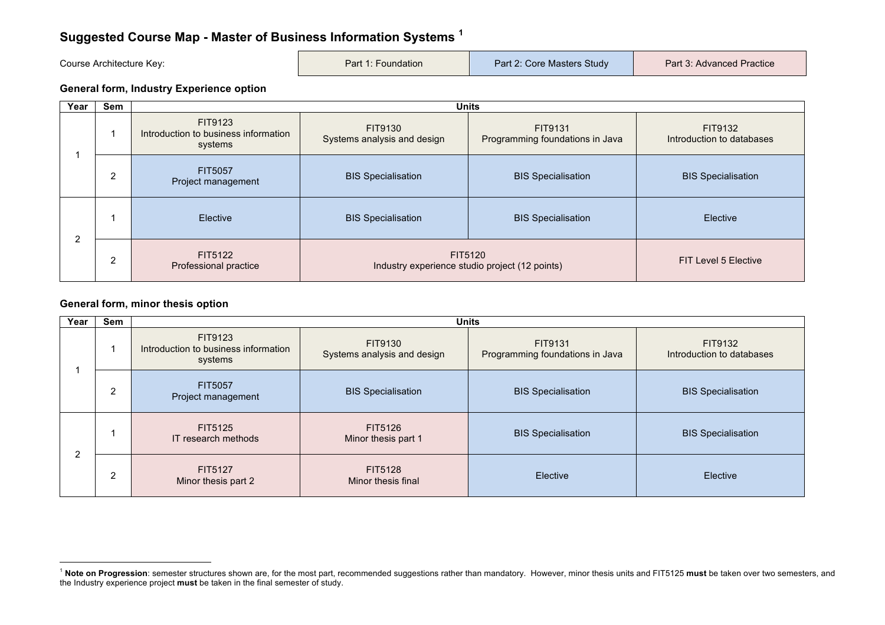# **Suggested Course Map - Master of Business Information Systems <sup>1</sup>**

| Course Architecture Key: | Part 1: Foundation | Part 2: Core Masters Study | Part 3: Advanced Practice |
|--------------------------|--------------------|----------------------------|---------------------------|
|                          |                    |                            |                           |

#### **General form, Industry Experience option**

| Year           | Sem            |                                                            |                                                           | <b>Units</b>                               |                                      |
|----------------|----------------|------------------------------------------------------------|-----------------------------------------------------------|--------------------------------------------|--------------------------------------|
|                |                | FIT9123<br>Introduction to business information<br>systems | FIT9130<br>Systems analysis and design                    | FIT9131<br>Programming foundations in Java | FIT9132<br>Introduction to databases |
|                | $\overline{2}$ | <b>FIT5057</b><br>Project management                       | <b>BIS Specialisation</b>                                 | <b>BIS Specialisation</b>                  | <b>BIS Specialisation</b>            |
|                |                | <b>Elective</b>                                            | <b>BIS Specialisation</b>                                 | <b>BIS Specialisation</b>                  | Elective                             |
| $\overline{2}$ | $\overline{2}$ | FIT5122<br><b>Professional practice</b>                    | FIT5120<br>Industry experience studio project (12 points) |                                            | FIT Level 5 Elective                 |

#### **General form, minor thesis option**

 

| Year | Sem |                                                            | <b>Units</b>                           |                                            |                                      |  |  |
|------|-----|------------------------------------------------------------|----------------------------------------|--------------------------------------------|--------------------------------------|--|--|
|      |     | FIT9123<br>Introduction to business information<br>systems | FIT9130<br>Systems analysis and design | FIT9131<br>Programming foundations in Java | FIT9132<br>Introduction to databases |  |  |
|      | 2   | FIT5057<br>Project management                              | <b>BIS Specialisation</b>              | <b>BIS Specialisation</b>                  | <b>BIS Specialisation</b>            |  |  |
|      |     | FIT5125<br>IT research methods                             | FIT5126<br>Minor thesis part 1         | <b>BIS Specialisation</b>                  | <b>BIS Specialisation</b>            |  |  |
|      | 2   | FIT5127<br>Minor thesis part 2                             | FIT5128<br>Minor thesis final          | Elective                                   | Elective                             |  |  |

<sup>1</sup> **Note on Progression**: semester structures shown are, for the most part, recommended suggestions rather than mandatory. However, minor thesis units and FIT5125 **must** be taken over two semesters, and the Industry experience project **must** be taken in the final semester of study.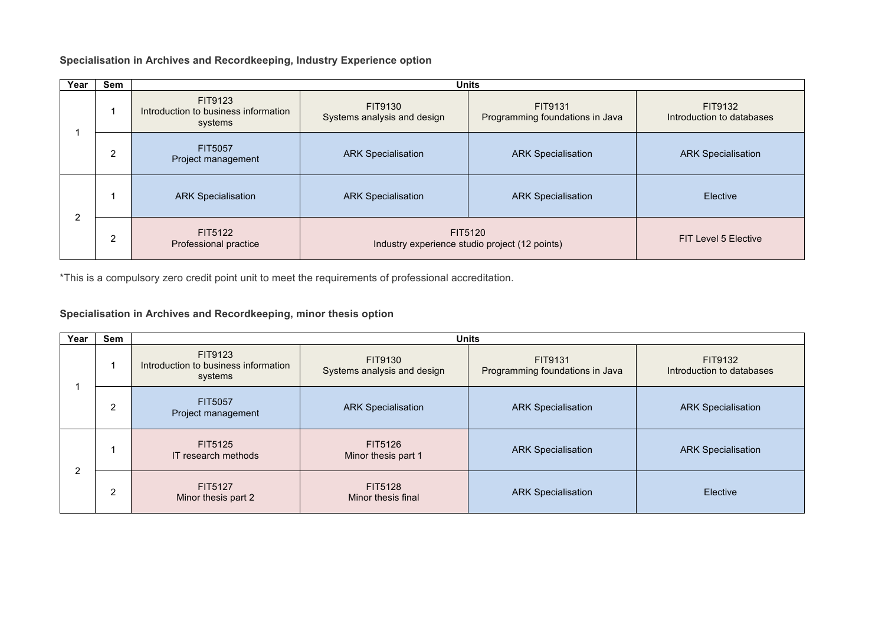**Specialisation in Archives and Recordkeeping, Industry Experience option**

| Year | Sem |                                                            |                                                           | <b>Units</b>                               |                                      |
|------|-----|------------------------------------------------------------|-----------------------------------------------------------|--------------------------------------------|--------------------------------------|
|      |     | FIT9123<br>Introduction to business information<br>systems | FIT9130<br>Systems analysis and design                    | FIT9131<br>Programming foundations in Java | FIT9132<br>Introduction to databases |
|      | 2   | FIT5057<br>Project management                              | <b>ARK Specialisation</b>                                 | <b>ARK Specialisation</b>                  | <b>ARK Specialisation</b>            |
| C    |     | <b>ARK Specialisation</b>                                  | <b>ARK Specialisation</b>                                 | <b>ARK Specialisation</b>                  | Elective                             |
| ∠    | 2   | FIT5122<br>Professional practice                           | FIT5120<br>Industry experience studio project (12 points) |                                            | FIT Level 5 Elective                 |

\*This is a compulsory zero credit point unit to meet the requirements of professional accreditation.

## **Specialisation in Archives and Recordkeeping, minor thesis option**

| Year | Sem |                                                            | <b>Units</b>                           |                                            |                                      |  |
|------|-----|------------------------------------------------------------|----------------------------------------|--------------------------------------------|--------------------------------------|--|
|      |     | FIT9123<br>Introduction to business information<br>systems | FIT9130<br>Systems analysis and design | FIT9131<br>Programming foundations in Java | FIT9132<br>Introduction to databases |  |
|      | 2   | FIT5057<br>Project management                              | <b>ARK Specialisation</b>              | <b>ARK Specialisation</b>                  | <b>ARK Specialisation</b>            |  |
|      |     | FIT5125<br>IT research methods                             | FIT5126<br>Minor thesis part 1         | <b>ARK Specialisation</b>                  | <b>ARK Specialisation</b>            |  |
| 2    | 2   | FIT5127<br>Minor thesis part 2                             | FIT5128<br>Minor thesis final          | <b>ARK Specialisation</b>                  | <b>Elective</b>                      |  |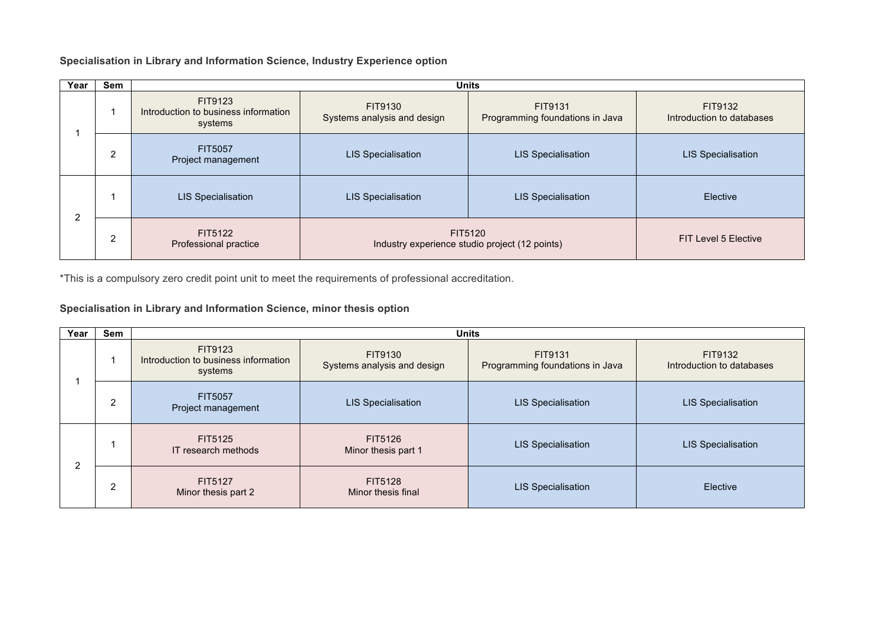### **Specialisation in Library and Information Science, Industry Experience option**

| Year | <b>Sem</b> |                                                            |                                                           | <b>Units</b>                               |                                      |
|------|------------|------------------------------------------------------------|-----------------------------------------------------------|--------------------------------------------|--------------------------------------|
|      |            | FIT9123<br>Introduction to business information<br>systems | FIT9130<br>Systems analysis and design                    | FIT9131<br>Programming foundations in Java | FIT9132<br>Introduction to databases |
|      | 2          | FIT5057<br>Project management                              | <b>LIS Specialisation</b>                                 | <b>LIS Specialisation</b>                  | <b>LIS Specialisation</b>            |
| C    |            | <b>LIS Specialisation</b>                                  | <b>LIS Specialisation</b>                                 | <b>LIS Specialisation</b>                  | Elective                             |
|      | 2          | FIT5122<br>Professional practice                           | FIT5120<br>Industry experience studio project (12 points) |                                            | FIT Level 5 Elective                 |

\*This is a compulsory zero credit point unit to meet the requirements of professional accreditation.

## **Specialisation in Library and Information Science, minor thesis option**

| Year | Sem |                                                            | <b>Units</b>                           |                                            |                                      |  |
|------|-----|------------------------------------------------------------|----------------------------------------|--------------------------------------------|--------------------------------------|--|
|      |     | FIT9123<br>Introduction to business information<br>systems | FIT9130<br>Systems analysis and design | FIT9131<br>Programming foundations in Java | FIT9132<br>Introduction to databases |  |
|      | 2   | FIT5057<br>Project management                              | <b>LIS Specialisation</b>              | <b>LIS Specialisation</b>                  | <b>LIS Specialisation</b>            |  |
| ົ    |     | FIT5125<br><b>IT research methods</b>                      | FIT5126<br>Minor thesis part 1         | <b>LIS Specialisation</b>                  | <b>LIS Specialisation</b>            |  |
| ∠    | 2   | FIT5127<br>Minor thesis part 2                             | FIT5128<br>Minor thesis final          | <b>LIS Specialisation</b>                  | Elective                             |  |